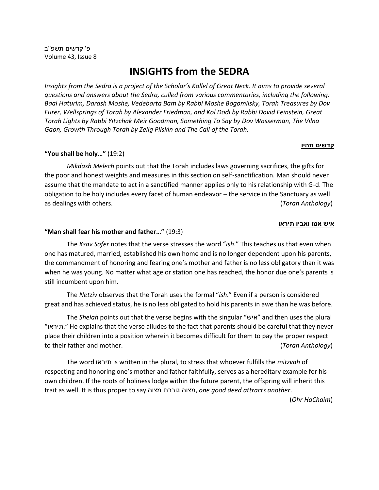# **INSIGHTS from the SEDRA**

*Insights from the Sedra is a project of the Scholar's Kollel of Great Neck. It aims to provide several questions and answers about the Sedra, culled from various commentaries, including the following: Baal Haturim, Darash Moshe, Vedebarta Bam by Rabbi Moshe Bogomilsky, Torah Treasures by Dov Furer, Wellsprings of Torah by Alexander Friedman, and Kol Dodi by Rabbi Dovid Feinstein, Great Torah Lights by Rabbi Yitzchak Meir Goodman, Something To Say by Dov Wasserman, The Vilna Gaon, Growth Through Torah by Zelig Pliskin and The Call of the Torah.*

## **"You shall be holy…"** (19:2)

*Mikdash Melech* points out that the Torah includes laws governing sacrifices, the gifts for the poor and honest weights and measures in this section on self-sanctification. Man should never assume that the mandate to act in a sanctified manner applies only to his relationship with G-d. The obligation to be holy includes every facet of human endeavor – the service in the Sanctuary as well as dealings with others. (*Torah Anthology*)

#### **איש אמו ואביו תיראו**

### **"Man shall fear his mother and father…"** (19:3)

The *Ksav Sofer* notes that the verse stresses the word "*ish*." This teaches us that even when one has matured, married, established his own home and is no longer dependent upon his parents, the commandment of honoring and fearing one's mother and father is no less obligatory than it was when he was young. No matter what age or station one has reached, the honor due one's parents is still incumbent upon him.

The *Netziv* observes that the Torah uses the formal "*ish*." Even if a person is considered great and has achieved status, he is no less obligated to hold his parents in awe than he was before.

The *Shelah* points out that the verse begins with the singular "איש" and then uses the plural "תיראו. "He explains that the verse alludes to the fact that parents should be careful that they never place their children into a position wherein it becomes difficult for them to pay the proper respect to their father and mother. (*Torah Anthology*)

The word תיראו is written in the plural, to stress that whoever fulfills the *mitzvah* of respecting and honoring one's mother and father faithfully, serves as a hereditary example for his own children. If the roots of holiness lodge within the future parent, the offspring will inherit this trait as well. It is thus proper to say מצוה גוררת מצוה, *one good deed attracts another*.

(*Ohr HaChaim*)

## <u>קדשים תהיו</u>